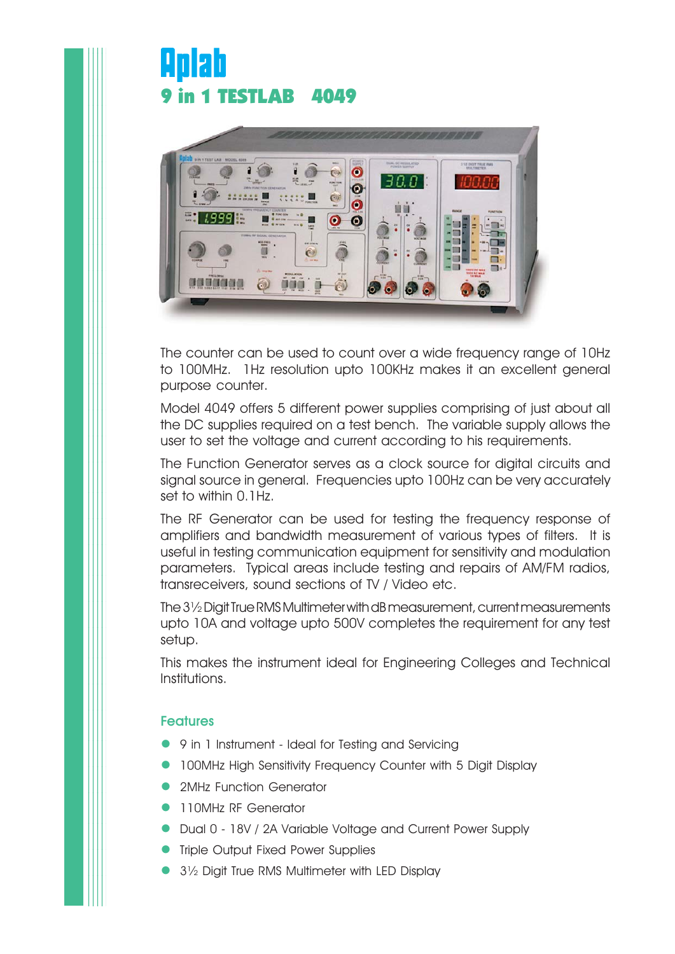# Anlah **9 in 1 TESTLAB 4049**

. . . . . . . . . . . . . . . . . . . . . . . . . . . . . . . . . . . . . . . . . . . . . . . . . . . . . . . . . . . . . . . . . . . . . . . . . . . . . . . . . . . . . . . . . . . . . . . . . . . . . . . . . . . . . . . . . . . . . . . . . . . . . . . . . . . . . . . . . . . . . . . . . . . . . . . . . . . . . . . . . . . . . . . . . . . . . . . . . . . . . . . . . . . . . . . . . . . . . . . . . . . . . . . . . . . . . . . . . . . . . . . . . . . . . . . . . . . . . . . . . . . . . . . . . . . . . . . . . . . . . . . . . . . . . . . . . . . . . . . . . . . . . . . . . . . . . . . . . . . . . . . . . . . . . . . . . . . . . . . . . . . . . . . . . . . . . . . . . . . . . . . . . . . . . . . . . . . . . . . . . . . . . . . . . . . . . . . . . . . . . . . . . . . . . . . . . . . . . . . . . . . . . . . . . . . . . . . . . . . . . . . . . . . . . . . . . . . . . . . . . . . . . . . . . . . . . . . . . . . . . . . . . . . . . . . . . . . . . . . . . . . . . . . . . . . . . . . . . . . . . . . . . . . . . . . . . . . . . . . . . . . . . . . . . . . . . . . . . . . . . . . . . . . . . . . . . . . . . . . . . . . . . . . . . . . . . . . . . . . . . . . . . . . . . . . . . . . . . . . . . . . . . . . . . . . . . . . . . . . . . . . . . . . . . . . . . . . . . . . . . . . . . . . . . . . . . . . . . . . . . . . . . . . . . . . . . . . . . . . . . . . . . . . . . . . . . . . . . . . . . . . . . . . . . . . . . . . . . . . . . . . . . . . . . . . . . . . . . . . . . . . . . . . . . . . . . . . . . . . . . . . . . . . . . . . . . . . . . . . . . . . . . . . . . . . . . . . . . . . . . . . . . . . . . . . . . . . . . . . . . . . . . . . . . . . . . . . . . . . . . . . . . . . . . . . . . . . . . . . . . . . . . . . . . . . . . . . . . . . . . . . . . . . . . . . . . . . . . . . . . . . . . . . . . . . . . . . . . . . . . . . . . . . . . . . . . . . . . . . . . . . . . . . . . . . . . . . . . . . . . . . . . . . . . . . . . . . . . . . . . . . . . . . . . . . . . . . . . . . . . . . . . . . . . . . . . . . . . . . . . . . . . . . . . . . . . . . . . . . . . . . . . . . . . . . . . . . . . . . . . . . . . . . . . . . . . . . . . . . . . . . . . . . . . . . . . . . . . . . . . . . . . . . . . . . . . . . . . . . . . . . . . . . . . . . . . . . . . . . . . . . . . . . . . . . . . . . . . . . . . . . . . . . . . . . . . . . . . . . . . .



The counter can be used to count over a wide frequency range of 10Hz to 100MHz. 1Hz resolution upto 100KHz makes it an excellent general purpose counter.

Model 4049 offers 5 different power supplies comprising of just about all the DC supplies required on a test bench. The variable supply allows the user to set the voltage and current according to his requirements.

The Function Generator serves as a clock source for digital circuits and signal source in general. Frequencies upto 100Hz can be very accurately set to within 0.1Hz.

The RF Generator can be used for testing the frequency response of amplifiers and bandwidth measurement of various types of filters. It is useful in testing communication equipment for sensitivity and modulation parameters. Typical areas include testing and repairs of AM/FM radios, transreceivers, sound sections of TV / Video etc.

The 3½ Digit True RMS Multimeter with dB measurement, current measurements upto 10A and voltage upto 500V completes the requirement for any test setup.

This makes the instrument ideal for Engineering Colleges and Technical Institutions.

# **Features**

- 9 in 1 Instrument Ideal for Testing and Servicing
- 100MHz High Sensitivity Frequency Counter with 5 Digit Display
- $\bullet$ 2MHz Function Generator
- **110MHz RF Generator**
- Dual 0 18V / 2A Variable Voltage and Current Power Supply
- **•** Triple Output Fixed Power Supplies
- $\bullet$ 3½ Digit True RMS Multimeter with LED Display